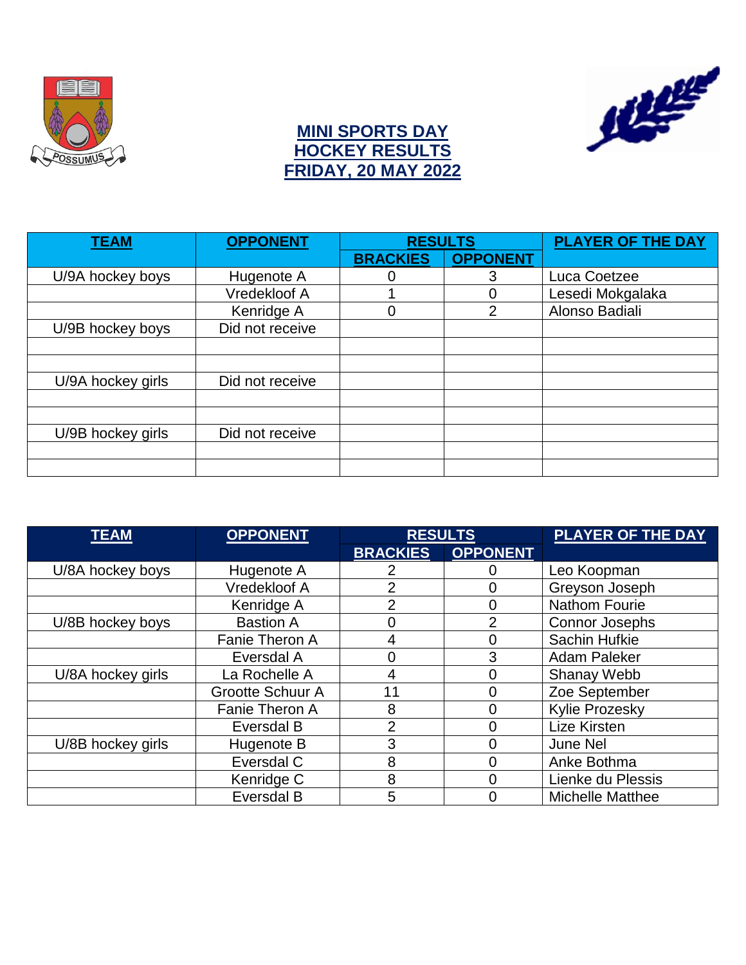



### **MINI SPORTS DAY HOCKEY RESULTS FRIDAY, 20 MAY 2022**

| <b>TEAM</b>       | <b>OPPONENT</b> | <b>RESULTS</b>  |                 | <b>PLAYER OF THE DAY</b> |
|-------------------|-----------------|-----------------|-----------------|--------------------------|
|                   |                 | <b>BRACKIES</b> | <b>OPPONENT</b> |                          |
| U/9A hockey boys  | Hugenote A      |                 | 3               | Luca Coetzee             |
|                   | Vredekloof A    |                 | 0               | Lesedi Mokgalaka         |
|                   | Kenridge A      |                 | 2               | Alonso Badiali           |
| U/9B hockey boys  | Did not receive |                 |                 |                          |
|                   |                 |                 |                 |                          |
|                   |                 |                 |                 |                          |
| U/9A hockey girls | Did not receive |                 |                 |                          |
|                   |                 |                 |                 |                          |
|                   |                 |                 |                 |                          |
| U/9B hockey girls | Did not receive |                 |                 |                          |
|                   |                 |                 |                 |                          |
|                   |                 |                 |                 |                          |

| <b>TEAM</b>                     | <b>OPPONENT</b>         | <b>RESULTS</b>  |                 | <b>PLAYER OF THE DAY</b> |
|---------------------------------|-------------------------|-----------------|-----------------|--------------------------|
|                                 |                         | <b>BRACKIES</b> | <b>OPPONENT</b> |                          |
| U/8A hockey boys                | Hugenote A              |                 |                 | Leo Koopman              |
|                                 | Vredekloof A            | 2               | 0               | Greyson Joseph           |
|                                 | Kenridge A              | າ               | 0               | <b>Nathom Fourie</b>     |
| U/8B hockey boys                | <b>Bastion A</b>        |                 | 2               | <b>Connor Josephs</b>    |
|                                 | Fanie Theron A          | 4               | 0               | Sachin Hufkie            |
| Eversdal A                      |                         |                 | 3               | Adam Paleker             |
| U/8A hockey girls               | La Rochelle A           |                 | 0               | Shanay Webb              |
|                                 | <b>Grootte Schuur A</b> | 11              | 0               | Zoe September            |
|                                 | Fanie Theron A          | 8               | 0               | <b>Kylie Prozesky</b>    |
|                                 | Eversdal B              | $\overline{2}$  | 0               | Lize Kirsten             |
| U/8B hockey girls<br>Hugenote B |                         | 3               | 0               | <b>June Nel</b>          |
|                                 | Eversdal C              | 8               | 0               | Anke Bothma              |
|                                 | Kenridge C              | 8               | 0               | Lienke du Plessis        |
| Eversdal B                      |                         | 5               |                 | <b>Michelle Matthee</b>  |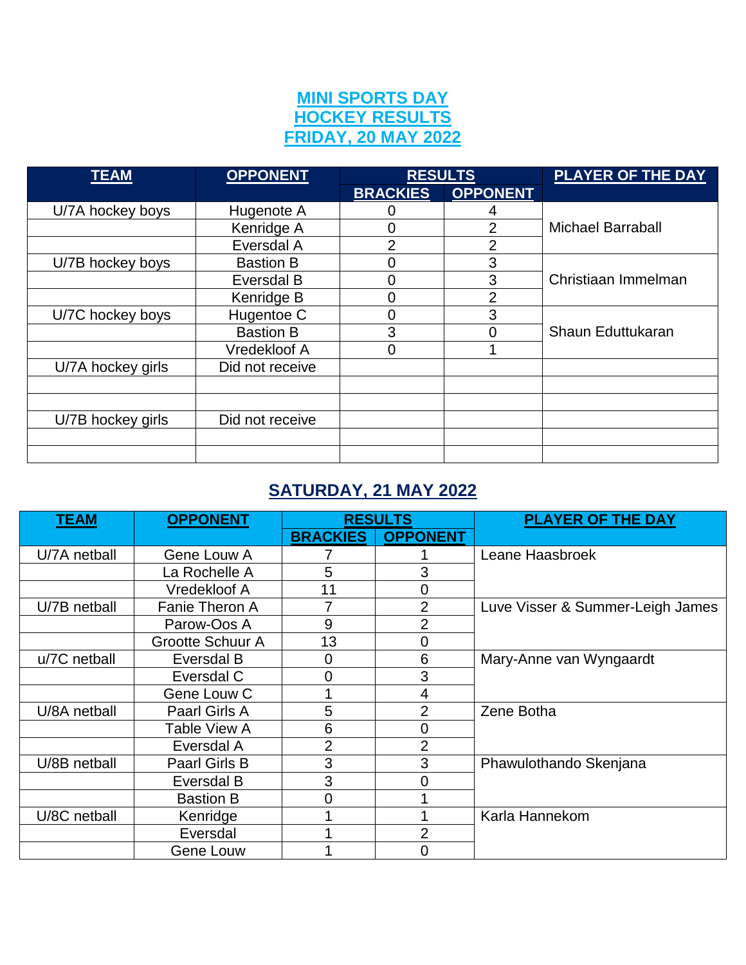### **MINI SPORTS DAY HOCKEY RESULTS FRIDAY, 20 MAY 2022**

| <b>TEAM</b>       | <b>OPPONENT</b>  | <b>RESULTS</b>  |                 | <b>PLAYER OF THE DAY</b> |  |
|-------------------|------------------|-----------------|-----------------|--------------------------|--|
|                   |                  | <b>BRACKIES</b> | <b>OPPONENT</b> |                          |  |
| U/7A hockey boys  | Hugenote A       |                 |                 |                          |  |
|                   | Kenridge A       | 0               | 2               | <b>Michael Barraball</b> |  |
|                   | Eversdal A       | $\overline{2}$  | $\overline{2}$  |                          |  |
| U/7B hockey boys  | <b>Bastion B</b> | 0               | 3               |                          |  |
|                   | Eversdal B       | 0               | 3               | Christiaan Immelman      |  |
|                   | Kenridge B       |                 | $\overline{2}$  |                          |  |
| U/7C hockey boys  | Hugentoe C       | 0               | 3               | Shaun Eduttukaran        |  |
|                   | <b>Bastion B</b> | 3               | $\overline{0}$  |                          |  |
|                   | Vredekloof A     | 0               |                 |                          |  |
| U/7A hockey girls | Did not receive  |                 |                 |                          |  |
|                   |                  |                 |                 |                          |  |
|                   |                  |                 |                 |                          |  |
| U/7B hockey girls | Did not receive  |                 |                 |                          |  |
|                   |                  |                 |                 |                          |  |
|                   |                  |                 |                 |                          |  |

# **SATURDAY, 21 MAY 2022**

| <b>TEAM</b>  | <b>OPPONENT</b>         | <b>RESULTS</b>  |                 | <b>PLAYER OF THE DAY</b>         |  |
|--------------|-------------------------|-----------------|-----------------|----------------------------------|--|
|              |                         | <b>BRACKIES</b> | <b>OPPONENT</b> |                                  |  |
| U/7A netball | Gene Louw A             |                 |                 | Leane Haasbroek                  |  |
|              | La Rochelle A           | 5               | 3               |                                  |  |
|              | Vredekloof A            | 11              | 0               |                                  |  |
| U/7B netball | <b>Fanie Theron A</b>   | 7               | $\overline{2}$  | Luve Visser & Summer-Leigh James |  |
|              | Parow-Oos A             | 9               | $\overline{2}$  |                                  |  |
|              | <b>Grootte Schuur A</b> | 13              | $\Omega$        |                                  |  |
| u/7C netball | Eversdal B              | 0               | 6               | Mary-Anne van Wyngaardt          |  |
|              | Eversdal C              | 0               | 3               |                                  |  |
|              | Gene Louw C             |                 | 4               |                                  |  |
| U/8A netball | Paarl Girls A           | 5               | 2               | Zene Botha                       |  |
|              | Table View A            | 6               | $\Omega$        |                                  |  |
|              | Eversdal A              | 2               | $\overline{2}$  |                                  |  |
| U/8B netball | <b>Paarl Girls B</b>    | 3               | 3               | Phawulothando Skenjana           |  |
|              | Eversdal B              | 3               | 0               |                                  |  |
|              | <b>Bastion B</b>        | 0               |                 |                                  |  |
| U/8C netball | Kenridge                |                 |                 | Karla Hannekom                   |  |
|              | Eversdal                |                 | $\overline{2}$  |                                  |  |
|              | Gene Louw               |                 | $\Omega$        |                                  |  |